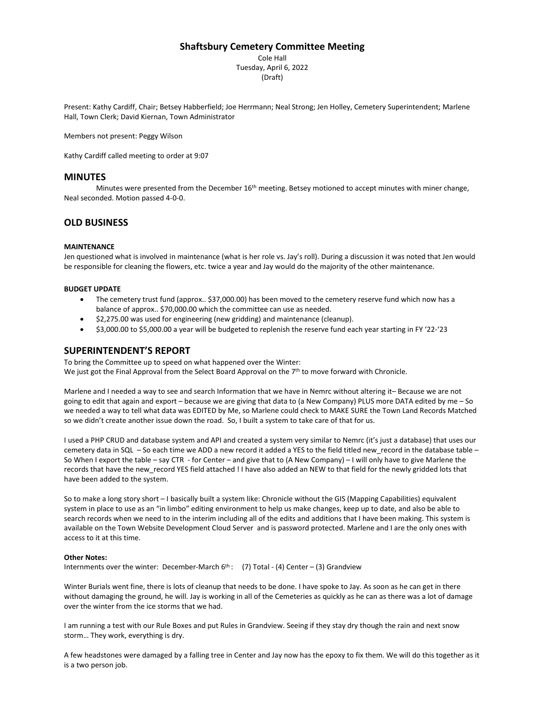# **Shaftsbury Cemetery Committee Meeting**

Cole Hall Tuesday, April 6, 2022 (Draft)

Present: Kathy Cardiff, Chair; Betsey Habberfield; Joe Herrmann; Neal Strong; Jen Holley, Cemetery Superintendent; Marlene Hall, Town Clerk; David Kiernan, Town Administrator

Members not present: Peggy Wilson

Kathy Cardiff called meeting to order at 9:07

# **MINUTES**

Minutes were presented from the December 16<sup>th</sup> meeting. Betsey motioned to accept minutes with miner change, Neal seconded. Motion passed 4-0-0.

# **OLD BUSINESS**

## **MAINTENANCE**

Jen questioned what is involved in maintenance (what is her role vs. Jay's roll). During a discussion it was noted that Jen would be responsible for cleaning the flowers, etc. twice a year and Jay would do the majority of the other maintenance.

### **BUDGET UPDATE**

- The cemetery trust fund (approx.. \$37,000.00) has been moved to the cemetery reserve fund which now has a balance of approx.. \$70,000.00 which the committee can use as needed.
- \$2,275.00 was used for engineering (new gridding) and maintenance (cleanup).
- \$3,000.00 to \$5,000.00 a year will be budgeted to replenish the reserve fund each year starting in FY '22-'23

## **SUPERINTENDENT'S REPORT**

To bring the Committee up to speed on what happened over the Winter: We just got the Final Approval from the Select Board Approval on the 7<sup>th</sup> to move forward with Chronicle.

Marlene and I needed a way to see and search Information that we have in Nemrc without altering it– Because we are not going to edit that again and export – because we are giving that data to (a New Company) PLUS more DATA edited by me – So we needed a way to tell what data was EDITED by Me, so Marlene could check to MAKE SURE the Town Land Records Matched so we didn't create another issue down the road. So, I built a system to take care of that for us.

I used a PHP CRUD and database system and API and created a system very similar to Nemrc (it's just a database) that uses our cemetery data in SQL – So each time we ADD a new record it added a YES to the field titled new\_record in the database table – So When I export the table – say CTR - for Center – and give that to (A New Company) – I will only have to give Marlene the records that have the new\_record YES field attached ! I have also added an NEW to that field for the newly gridded lots that have been added to the system.

So to make a long story short – I basically built a system like: Chronicle without the GIS (Mapping Capabilities) equivalent system in place to use as an "in limbo" editing environment to help us make changes, keep up to date, and also be able to search records when we need to in the interim including all of the edits and additions that I have been making. This system is available on the Town Website Development Cloud Server and is password protected. Marlene and I are the only ones with access to it at this time.

#### **Other Notes:**

Internments over the winter: December-March  $6<sup>th</sup>$ : (7) Total - (4) Center – (3) Grandview

Winter Burials went fine, there is lots of cleanup that needs to be done. I have spoke to Jay. As soon as he can get in there without damaging the ground, he will. Jay is working in all of the Cemeteries as quickly as he can as there was a lot of damage over the winter from the ice storms that we had.

I am running a test with our Rule Boxes and put Rules in Grandview. Seeing if they stay dry though the rain and next snow storm… They work, everything is dry.

A few headstones were damaged by a falling tree in Center and Jay now has the epoxy to fix them. We will do this together as it is a two person job.